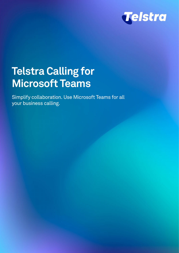

# **Telstra Calling for Microsoft Teams**

Simplify collaboration. Use Microsoft Teams for all your business calling.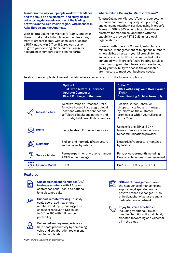**Transform the way your people work with landlines and the cloud on one platform, and enjoy clearer voice calling delivered over one of the leading networks in the Asia Pacific region, with licenses in Asia, Europe and the Americas.**

With Telstra Calling for Microsoft Teams, empower them to make calls to landlines or mobiles straight from Microsoft Teams, with each user allocated a PSTN natively in Office 365. You can port or migrate your existing phone number, rnage or allocate new numbers via the online portal.

## **What is Telstra Calling for Microsoft Teams?**

Telstra Calling for Microsoft Teams is our solution to enable customers to quickly setup, configure and consume telephony services using Microsoft Teams on Office 365. A complete, cloud-based platform for modern collaboration with the capability to provide PSTN Calling for global organisations.

Powered with Operator Connect, setup time is minimised, managemenent of telephone numbers is now visible directly in your Microsoft tenant and all voice traffic flows over redundant links enhanced with Microsoft Azure Peering Services. Direct Routing architechtures is also available, giving you flexibility to choose the applicable architecture to meet your business needs.

Telstra offers simple deployment models, where you can start with the following options:

|                       | <b>Option 1</b><br><b>TCMT with Telstra SIP services</b><br><b>Operator Connect or</b><br><b>Direct Routing architectures</b>                                                                 | <b>Option 2</b><br><b>TCMT with Bring-Your-Own-Carrier</b><br>(BYOC).<br><b>Direct Routing Architectures only</b>                             |
|-----------------------|-----------------------------------------------------------------------------------------------------------------------------------------------------------------------------------------------|-----------------------------------------------------------------------------------------------------------------------------------------------|
| <b>Infrastructure</b> | Telstra's Point-of-Presence (PoPs)<br>for voice hosted in strategic global<br>locations with direct connections<br>to Telstra's backbone network and<br>proximitiy to Microsoft data centres. | Session Border Controller<br>shipped, installed and managed<br>by Telstra on the customer<br>premises or within your Microsoft<br>Azure Cloud |
| <b>PSTN</b>           | Using Telstra SIP Connect services                                                                                                                                                            | Using existing SIP or ISDN*<br>trunks from your organisation's<br>telecommunications provider                                                 |
| Network*              | End-to-end network infrastructure<br>and services by Telstra                                                                                                                                  | Network infrastructure managed<br>by Telstra                                                                                                  |
| <b>Service Model</b>  | Per-user-per-month + phone number<br>+ SIP Connect usage                                                                                                                                      | Per-device-per-month including<br>Device replacement & management                                                                             |
| <b>Finance Model</b>  | <b>OPEX</b>                                                                                                                                                                                   | CAPEX + OPEX or pure OPEX                                                                                                                     |

## **Features**



**One dedicated phone number (DID) business number** - with 1:1, team conference calls, local and national long distance calls



**Support remote working - quickly** scale users, add new phone numbers and top up calling plans; each user receives a DID linked to Office 365 with full number portability



**Enhanced employee experience** -

help boost productivity by combining voice and collaboration tools in one familiar application



**Offload IT management** - avoid the headaches of managing and supporting disparate on-site private branch exchanges (PBXs), phhysical phone handsets and a dedicated voice network



## **Enjoy full voice functions -**

including traditional PBX callhandling functions like call, hold, transfer, forwarding and voicemaill all in the cloud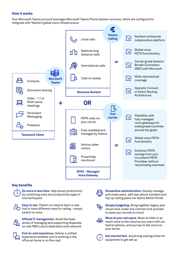## **How it works**

Your Microsoft Teams account leverages Microsoft Teams Phone System services, which are configured to integrate with Telstra's global voice infrastructure.



# **Key benefits**



**Do more in less time.** Help boost productivity by combining voice and productivity apps in one workspace



**Easy to use.** There's no need to learn a new tool or have different ones for calling - simply switch on voice

**Offload IT management.** Avoid the head aches of managing and supporting disparate on-site PBX's and a dedicated voice network



**End-to-end experience.** Deliver a unified experience whether you're working in the office at home or on the road



**Streamline administration.** Quickly manage and scale users, add new phone numbers and top up calling plans via Teams Admin Portal



**Simply budgeting.** Bring together legacy and cloud voice under one contract and provider to ease your journey to cloud



**Move at your own pace.** Move as little or as much voice to the cloud as you want with our hybrid options, and journey to the cloud on your terms



**Get started fast.** Avoid long waiting times for equipment to get set up